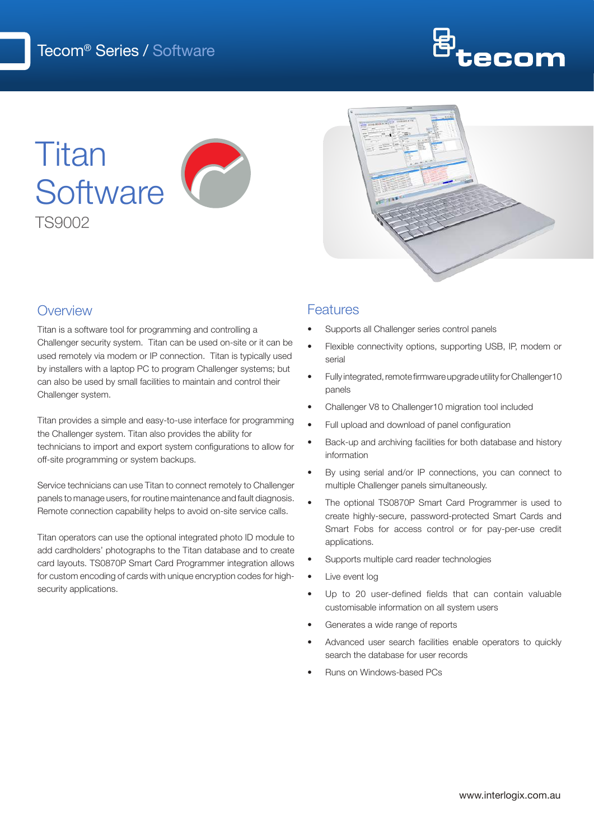# ecor

## Titan **Software** TS9002





### **Overview**

Titan is a software tool for programming and controlling a Challenger security system. Titan can be used on-site or it can be used remotely via modem or IP connection. Titan is typically used by installers with a laptop PC to program Challenger systems; but can also be used by small facilities to maintain and control their Challenger system.

Titan provides a simple and easy-to-use interface for programming the Challenger system. Titan also provides the ability for technicians to import and export system configurations to allow for off-site programming or system backups.

Service technicians can use Titan to connect remotely to Challenger panels to manage users, for routine maintenance and fault diagnosis. Remote connection capability helps to avoid on-site service calls.

Titan operators can use the optional integrated photo ID module to add cardholders' photographs to the Titan database and to create card layouts. TS0870P Smart Card Programmer integration allows for custom encoding of cards with unique encryption codes for highsecurity applications.

#### **Features**

- Supports all Challenger series control panels
- Flexible connectivity options, supporting USB, IP, modem or serial
- Fully integrated, remote firmware upgrade utility for Challenger10 panels
- Challenger V8 to Challenger10 migration tool included
- Full upload and download of panel configuration
- Back-up and archiving facilities for both database and history information
- By using serial and/or IP connections, you can connect to multiple Challenger panels simultaneously.
- The optional TS0870P Smart Card Programmer is used to create highly-secure, password-protected Smart Cards and Smart Fobs for access control or for pay-per-use credit applications.
- Supports multiple card reader technologies
- Live event log
- Up to 20 user-defined fields that can contain valuable customisable information on all system users
- Generates a wide range of reports
- Advanced user search facilities enable operators to quickly search the database for user records
- Runs on Windows-based PCs